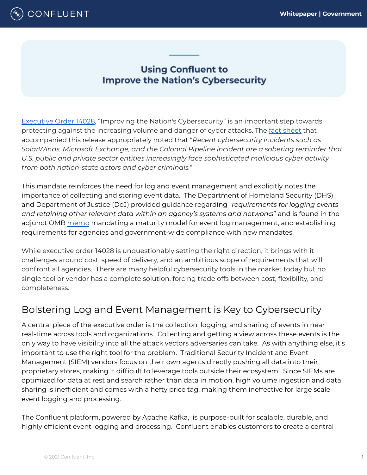

## **Using Confluent to Improve the Nation's Cybersecurity**

[Executive](https://www.whitehouse.gov/briefing-room/presidential-actions/2021/05/12/executive-order-on-improving-the-nations-cybersecurity/) Order 14028, "Improving the Nation's Cybersecurity" is an important step towards protecting against the increasing volume and danger of cyber attacks. The fact [sheet](https://www.whitehouse.gov/briefing-room/statements-releases/2021/05/12/fact-sheet-president-signs-executive-order-charting-new-course-to-improve-the-nations-cybersecurity-and-protect-federal-government-networks/) that accompanied this release appropriately noted that "*Recent cybersecurity incidents such as SolarWinds, Microsoft Exchange, and the Colonial Pipeline incident are a sobering reminder that U.S. public and private sector entities increasingly face sophisticated malicious cyber activity from both nation-state actors and cyber criminals.*"

This mandate reinforces the need for log and event management and explicitly notes the importance of collecting and storing event data. The Department of Homeland Security (DHS) and Department of Justice (DoJ) provided guidance regarding "*requirements for logging events and retaining other relevant data within an agency's systems and networks*" and is found in the adjunct OMB [memo](https://www.whitehouse.gov/wp-content/uploads/2021/08/M-21-31-Improving-the-Federal-Governments-Investigative-and-Remediation-Capabilities-Related-to-Cybersecurity-Incidents.pdf) mandating a maturity model for event log management, and establishing requirements for agencies and government-wide compliance with new mandates.

While executive order 14028 is unquestionably setting the right direction, it brings with it challenges around cost, speed of delivery, and an ambitious scope of requirements that will confront all agencies. There are many helpful cybersecurity tools in the market today but no single tool or vendor has a complete solution, forcing trade offs between cost, flexibility, and completeness.

# Bolstering Log and Event Management is Key to Cybersecurity

A central piece of the executive order is the collection, logging, and sharing of events in near real-time across tools and organizations. Collecting and getting a view across these events is the only way to have visibility into all the attack vectors adversaries can take. As with anything else, it's important to use the right tool for the problem. Traditional Security Incident and Event Management (SIEM) vendors focus on their own agents directly pushing all data into their proprietary stores, making it difficult to leverage tools outside their ecosystem. Since SIEMs are optimized for data at rest and search rather than data in motion, high volume ingestion and data sharing is inefficient and comes with a hefty price tag, making them ineffective for large scale event logging and processing.

The Confluent platform, powered by Apache Kafka, is purpose-built for scalable, durable, and highly efficient event logging and processing. Confluent enables customers to create a central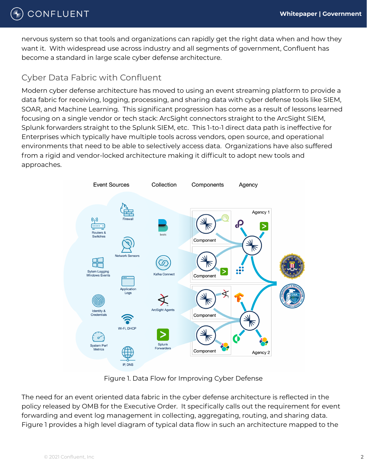# CONFLUENT

nervous system so that tools and organizations can rapidly get the right data when and how they want it. With widespread use across industry and all segments of government, Confluent has become a standard in large scale cyber defense architecture.

### Cyber Data Fabric with Confluent

Modern cyber defense architecture has moved to using an event streaming platform to provide a data fabric for receiving, logging, processing, and sharing data with cyber defense tools like SIEM, SOAR, and Machine Learning. This significant progression has come as a result of lessons learned focusing on a single vendor or tech stack: ArcSight connectors straight to the ArcSight SIEM, Splunk forwarders straight to the Splunk SIEM, etc. This 1-to-1 direct data path is ineffective for Enterprises which typically have multiple tools across vendors, open source, and operational environments that need to be able to selectively access data. Organizations have also suffered from a rigid and vendor-locked architecture making it difficult to adopt new tools and approaches.



Figure 1. Data Flow for Improving Cyber Defense

The need for an event oriented data fabric in the cyber defense architecture is reflected in the policy released by OMB for the Executive Order. It specifically calls out the requirement for event forwarding and event log management in collecting, aggregating, routing, and sharing data. Figure 1 provides a high level diagram of typical data flow in such an architecture mapped to the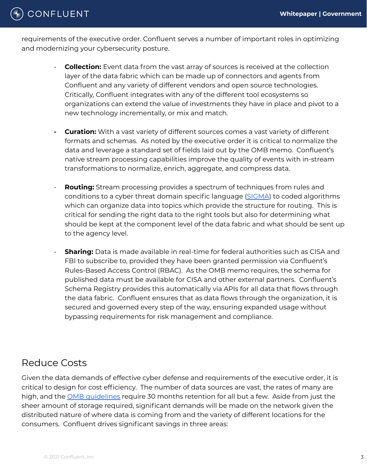# CONFLUENT

requirements of the executive order. Confluent serves a number of important roles in optimizing and modernizing your cybersecurity posture.

- **Collection:** Event data from the vast array of sources is received at the collection layer of the data fabric which can be made up of connectors and agents from Confluent and any variety of different vendors and open source technologies. Critically, Confluent integrates with any of the different tool ecosystems so organizations can extend the value of investments they have in place and pivot to a new technology incrementally, or mix and match.
- **- Curation:** With a vast variety of different sources comes a vast variety of different formats and schemas. As noted by the executive order it is critical to normalize the data and leverage a standard set of fields laid out by the OMB memo. Confluent's native stream processing capabilities improve the quality of events with in-stream transformations to normalize, enrich, aggregate, and compress data.
- **Routing:** Stream processing provides a spectrum of techniques from rules and conditions to a cyber threat domain specific language [\(SIGMA](https://github.com/SigmaHQ/sigma)) to coded algorithms which can organize data into topics which provide the structure for routing. This is critical for sending the right data to the right tools but also for determining what should be kept at the component level of the data fabric and what should be sent up to the agency level.
- **Sharing:** Data is made available in real-time for federal authorities such as CISA and FBI to subscribe to, provided they have been granted permission via Confluent's Rules-Based Access Control (RBAC). As the OMB memo requires, the schema for published data must be available for CISA and other external partners. Confluent's Schema Registry provides this automatically via APIs for all data that flows through the data fabric. Confluent ensures that as data flows through the organization, it is secured and governed every step of the way, ensuring expanded usage without bypassing requirements for risk management and compliance.

## Reduce Costs

Given the data demands of effective cyber defense and requirements of the executive order, it is critical to design for cost efficiency. The number of data sources are vast, the rates of many are high, and the OMB [guidelines](https://www.whitehouse.gov/wp-content/uploads/2021/08/M-21-31-Improving-the-Federal-Governments-Investigative-and-Remediation-Capabilities-Related-to-Cybersecurity-Incidents.pdf) require 30 months retention for all but a few. Aside from just the sheer amount of storage required, significant demands will be made on the network given the distributed nature of where data is coming from and the variety of different locations for the consumers. Confluent drives significant savings in three areas: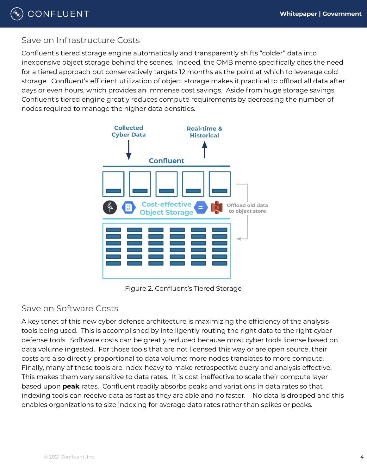

### Save on Infrastructure Costs

Confluent's tiered storage engine automatically and transparently shifts "colder" data into inexpensive object storage behind the scenes. Indeed, the OMB memo specifically cites the need for a tiered approach but conservatively targets 12 months as the point at which to leverage cold storage. Confluent's efficient utilization of object storage makes it practical to offload all data after days or even hours, which provides an immense cost savings. Aside from huge storage savings, Confluent's tiered engine greatly reduces compute requirements by decreasing the number of nodes required to manage the higher data densities.



Figure 2. Confluent's Tiered Storage

#### Save on Software Costs

A key tenet of this new cyber defense architecture is maximizing the efficiency of the analysis tools being used. This is accomplished by intelligently routing the right data to the right cyber defense tools. Software costs can be greatly reduced because most cyber tools license based on data volume ingested. For those tools that are not licensed this way or are open source, their costs are also directly proportional to data volume: more nodes translates to more compute. Finally, many of these tools are index-heavy to make retrospective query and analysis effective. This makes them very sensitive to data rates. It is cost ineffective to scale their compute layer based upon **peak** rates. Confluent readily absorbs peaks and variations in data rates so that indexing tools can receive data as fast as they are able and no faster. No data is dropped and this enables organizations to size indexing for average data rates rather than spikes or peaks.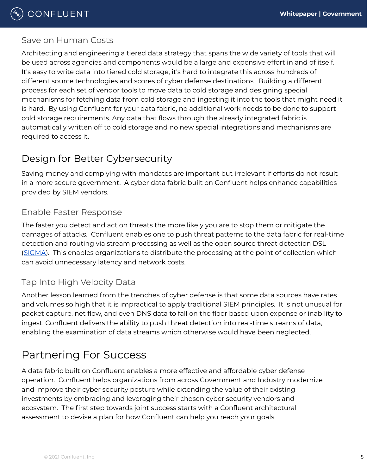### Save on Human Costs

Architecting and engineering a tiered data strategy that spans the wide variety of tools that will be used across agencies and components would be a large and expensive effort in and of itself. It's easy to write data into tiered cold storage, it's hard to integrate this across hundreds of different source technologies and scores of cyber defense destinations. Building a different process for each set of vendor tools to move data to cold storage and designing special mechanisms for fetching data from cold storage and ingesting it into the tools that might need it is hard. By using Confluent for your data fabric, no additional work needs to be done to support cold storage requirements. Any data that flows through the already integrated fabric is automatically written off to cold storage and no new special integrations and mechanisms are required to access it.

# Design for Better Cybersecurity

Saving money and complying with mandates are important but irrelevant if efforts do not result in a more secure government. A cyber data fabric built on Confluent helps enhance capabilities provided by SIEM vendors.

## Enable Faster Response

The faster you detect and act on threats the more likely you are to stop them or mitigate the damages of attacks. Confluent enables one to push threat patterns to the data fabric for real-time detection and routing via stream processing as well as the open source threat detection DSL ([SIGMA\)](https://github.com/SigmaHQ/sigma). This enables organizations to distribute the processing at the point of collection which can avoid unnecessary latency and network costs.

## Tap Into High Velocity Data

Another lesson learned from the trenches of cyber defense is that some data sources have rates and volumes so high that it is impractical to apply traditional SIEM principles. It is not unusual for packet capture, net flow, and even DNS data to fall on the floor based upon expense or inability to ingest. Confluent delivers the ability to push threat detection into real-time streams of data, enabling the examination of data streams which otherwise would have been neglected.

# Partnering For Success

A data fabric built on Confluent enables a more effective and affordable cyber defense operation. Confluent helps organizations from across Government and Industry modernize and improve their cyber security posture while extending the value of their existing investments by embracing and leveraging their chosen cyber security vendors and ecosystem. The first step towards joint success starts with a Confluent architectural assessment to devise a plan for how Confluent can help you reach your goals.